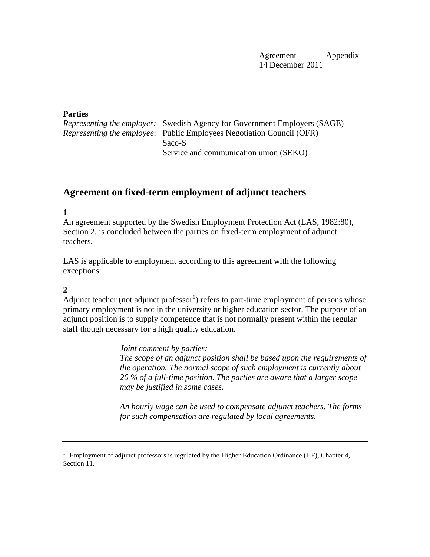Agreement Appendix 14 December 2011

#### **Parties**

| <i>Representing the employer:</i> Swedish Agency for Government Employers (SAGE) |  |
|----------------------------------------------------------------------------------|--|
| <i>Representing the employee:</i> Public Employees Negotiation Council (OFR)     |  |
| Saco-S                                                                           |  |
| Service and communication union (SEKO)                                           |  |

# **Agreement on fixed-term employment of adjunct teachers**

**1** 

An agreement supported by the Swedish Employment Protection Act (LAS, 1982:80), Section 2, is concluded between the parties on fixed-term employment of adjunct teachers.

LAS is applicable to employment according to this agreement with the following exceptions:

## **2**

Adjunct teacher (not adjunct professor<sup>1</sup>) refers to part-time employment of persons whose primary employment is not in the university or higher education sector. The purpose of an adjunct position is to supply competence that is not normally present within the regular staff though necessary for a high quality education.

> *Joint comment by parties: The scope of an adjunct position shall be based upon the requirements of the operation. The normal scope of such employment is currently about 20 % of a full-time position. The parties are aware that a larger scope may be justified in some cases.*

*An hourly wage can be used to compensate adjunct teachers. The forms for such compensation are regulated by local agreements.*

 $1$  Employment of adjunct professors is regulated by the Higher Education Ordinance (HF), Chapter 4, Section 11.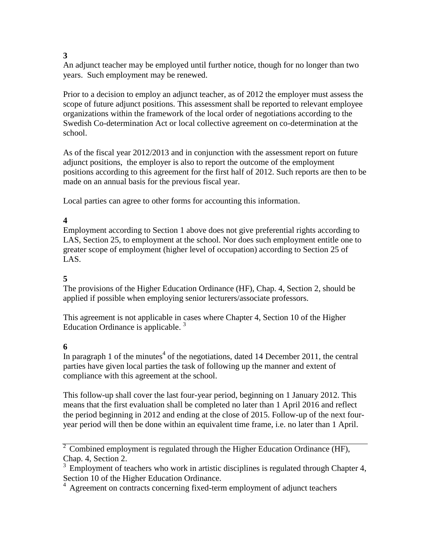### **3**

An adjunct teacher may be employed until further notice, though for no longer than two years. Such employment may be renewed.

Prior to a decision to employ an adjunct teacher, as of 2012 the employer must assess the scope of future adjunct positions. This assessment shall be reported to relevant employee organizations within the framework of the local order of negotiations according to the Swedish Co-determination Act or local collective agreement on co-determination at the school.

As of the fiscal year 2012/2013 and in conjunction with the assessment report on future adjunct positions, the employer is also to report the outcome of the employment positions according to this agreement for the first half of 2012. Such reports are then to be made on an annual basis for the previous fiscal year.

Local parties can agree to other forms for accounting this information.

# **4**

Employment according to Section 1 above does not give preferential rights according to LAS, Section 25, to employment at the school. Nor does such employment entitle one to greater scope of employment (higher level of occupation) according to Section 25 of LAS.

# **5**

The provisions of the Higher Education Ordinance (HF), Chap. 4, Section 2, should be applied if possible when employing senior lecturers/associate professors.

This agreement is not applicable in cases where Chapter 4, Section 10 of the Higher Education Ordinance is applicable.  $3$ 

## **6**

In paragraph 1 of the minutes<sup>4</sup> of the negotiations, dated 14 December 2011, the central parties have given local parties the task of following up the manner and extent of compliance with this agreement at the school.

This follow-up shall cover the last four-year period, beginning on 1 January 2012. This means that the first evaluation shall be completed no later than 1 April 2016 and reflect the period beginning in 2012 and ending at the close of 2015. Follow-up of the next fouryear period will then be done within an equivalent time frame, i.e. no later than 1 April.

 $2^{\circ}$  Combined employment is regulated through the Higher Education Ordinance (HF), Chap. 4, Section 2.

 $3$  Employment of teachers who work in artistic disciplines is regulated through Chapter 4, Section 10 of the Higher Education Ordinance.

<sup>4</sup> Agreement on contracts concerning fixed-term employment of adjunct teachers